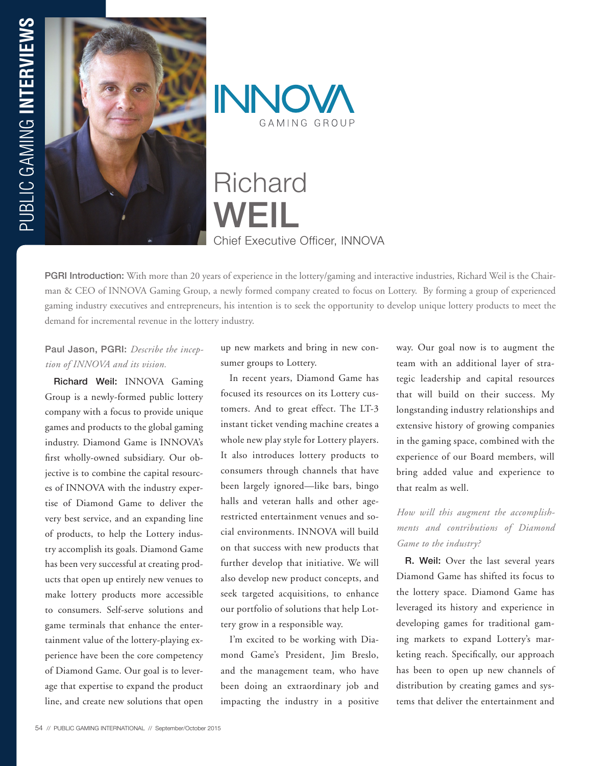



## Richard WEIL Chief Executive Officer, INNOVA

PGRI Introduction: With more than 20 years of experience in the lottery/gaming and interactive industries, Richard Weil is the Chairman & CEO of INNOVA Gaming Group, a newly formed company created to focus on Lottery. By forming a group of experienced gaming industry executives and entrepreneurs, his intention is to seek the opportunity to develop unique lottery products to meet the demand for incremental revenue in the lottery industry.

Paul Jason, PGRI: *Describe the inception of INNOVA and its vision.* 

Richard Weil: INNOVA Gaming Group is a newly-formed public lottery company with a focus to provide unique games and products to the global gaming industry. Diamond Game is INNOVA's first wholly-owned subsidiary. Our objective is to combine the capital resources of INNOVA with the industry expertise of Diamond Game to deliver the very best service, and an expanding line of products, to help the Lottery industry accomplish its goals. Diamond Game has been very successful at creating products that open up entirely new venues to make lottery products more accessible to consumers. Self-serve solutions and game terminals that enhance the entertainment value of the lottery-playing experience have been the core competency of Diamond Game. Our goal is to leverage that expertise to expand the product line, and create new solutions that open up new markets and bring in new consumer groups to Lottery.

In recent years, Diamond Game has focused its resources on its Lottery customers. And to great effect. The LT-3 instant ticket vending machine creates a whole new play style for Lottery players. It also introduces lottery products to consumers through channels that have been largely ignored—like bars, bingo halls and veteran halls and other agerestricted entertainment venues and social environments. INNOVA will build on that success with new products that further develop that initiative. We will also develop new product concepts, and seek targeted acquisitions, to enhance our portfolio of solutions that help Lottery grow in a responsible way.

I'm excited to be working with Diamond Game's President, Jim Breslo, and the management team, who have been doing an extraordinary job and impacting the industry in a positive

way. Our goal now is to augment the team with an additional layer of strategic leadership and capital resources that will build on their success. My longstanding industry relationships and extensive history of growing companies in the gaming space, combined with the experience of our Board members, will bring added value and experience to that realm as well.

## *How will this augment the accomplishments and contributions of Diamond Game to the industry?*

R. Weil: Over the last several years Diamond Game has shifted its focus to the lottery space. Diamond Game has leveraged its history and experience in developing games for traditional gaming markets to expand Lottery's marketing reach. Specifically, our approach has been to open up new channels of distribution by creating games and systems that deliver the entertainment and